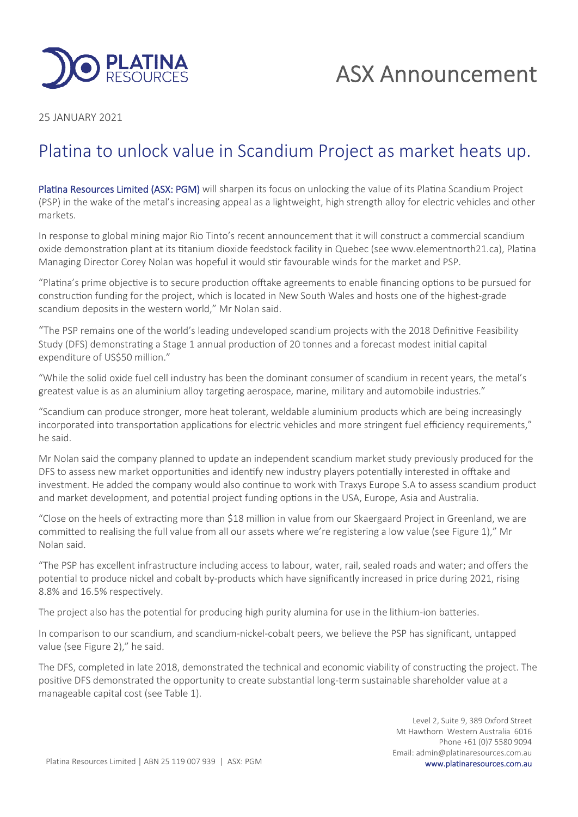

25 JANUARY 2021

# Platina to unlock value in Scandium Project as market heats up.

Platina Resources Limited (ASX: PGM) will sharpen its focus on unlocking the value of its Platina Scandium Project (PSP) in the wake of the metal's increasing appeal as a lightweight, high strength alloy for electric vehicles and other markets.

In response to global mining major Rio Tinto's recent announcement that it will construct a commercial scandium oxide demonstration plant at its titanium dioxide feedstock facility in Quebec (see www.elementnorth21.ca), Platina Managing Director Corey Nolan was hopeful it would stir favourable winds for the market and PSP.

"Platina's prime objective is to secure production offtake agreements to enable financing options to be pursued for construction funding for the project, which is located in New South Wales and hosts one of the highest-grade scandium deposits in the western world," Mr Nolan said.

"The PSP remains one of the world's leading undeveloped scandium projects with the 2018 Definitive Feasibility Study (DFS) demonstrating a Stage 1 annual production of 20 tonnes and a forecast modest initial capital expenditure of US\$50 million."

"While the solid oxide fuel cell industry has been the dominant consumer of scandium in recent years, the metal's greatest value is as an aluminium alloy targeting aerospace, marine, military and automobile industries."

"Scandium can produce stronger, more heat tolerant, weldable aluminium products which are being increasingly incorporated into transportation applications for electric vehicles and more stringent fuel efficiency requirements," he said.

Mr Nolan said the company planned to update an independent scandium market study previously produced for the DFS to assess new market opportunities and identify new industry players potentially interested in offtake and investment. He added the company would also continue to work with Traxys Europe S.A to assess scandium product and market development, and potential project funding options in the USA, Europe, Asia and Australia.

"Close on the heels of extracting more than \$18 million in value from our Skaergaard Project in Greenland, we are committed to realising the full value from all our assets where we're registering a low value (see Figure 1)," Mr Nolan said.

"The PSP has excellent infrastructure including access to labour, water, rail, sealed roads and water; and offers the potential to produce nickel and cobalt by-products which have significantly increased in price during 2021, rising 8.8% and 16.5% respectively.

The project also has the potential for producing high purity alumina for use in the lithium-ion batteries.

In comparison to our scandium, and scandium-nickel-cobalt peers, we believe the PSP has significant, untapped value (see Figure 2)," he said.

The DFS, completed in late 2018, demonstrated the technical and economic viability of constructing the project. The positive DFS demonstrated the opportunity to create substantial long-term sustainable shareholder value at a manageable capital cost (see Table 1).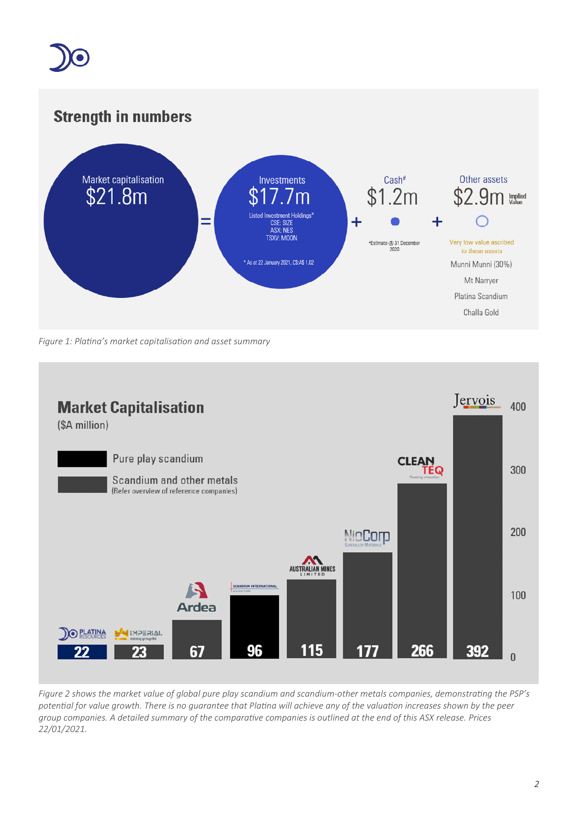

# **Strength in numbers**



*Figure* 1: *Platina's market capitalisation and asset summary* 



Figure 2 shows the market value of global pure play scandium and scandium-other metals companies, demonstrating the PSP's potential for value growth. There is no guarantee that Platina will achieve any of the valuation increases shown by the peer group companies. A detailed summary of the comparative companies is outlined at the end of this ASX release. Prices *22/01/2021.*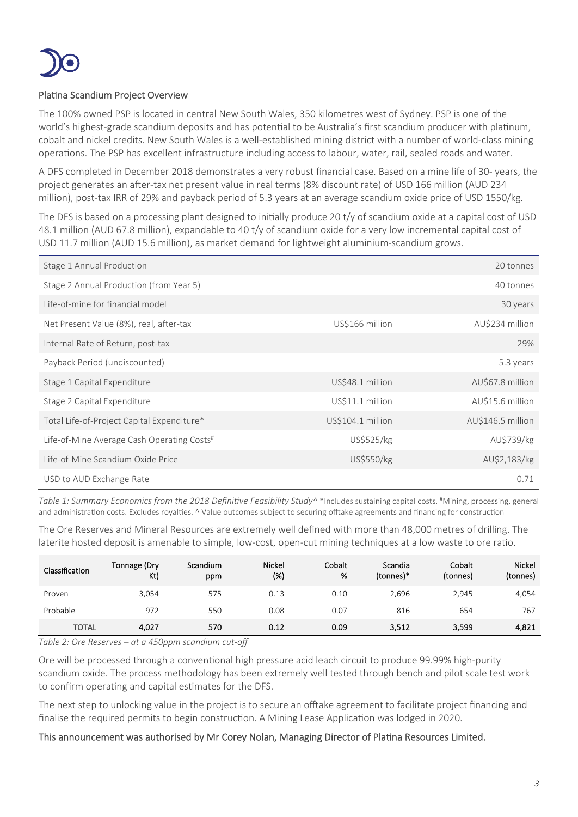

### Platina Scandium Project Overview

The 100% owned PSP is located in central New South Wales, 350 kilometres west of Sydney. PSP is one of the world's highest-grade scandium deposits and has potential to be Australia's first scandium producer with platinum, cobalt and nickel credits. New South Wales is a well-established mining district with a number of world-class mining operations. The PSP has excellent infrastructure including access to labour, water, rail, sealed roads and water.

A DFS completed in December 2018 demonstrates a very robust financial case. Based on a mine life of 30- years, the project generates an after-tax net present value in real terms (8% discount rate) of USD 166 million (AUD 234 million), post-tax IRR of 29% and payback period of 5.3 years at an average scandium oxide price of USD 1550/kg.

The DFS is based on a processing plant designed to initially produce 20 t/y of scandium oxide at a capital cost of USD 48.1 million (AUD 67.8 million), expandable to 40 t/y of scandium oxide for a very low incremental capital cost of USD 11.7 million (AUD 15.6 million), as market demand for lightweight aluminium-scandium grows.

| Stage 1 Annual Production                  |                   | 20 tonnes         |
|--------------------------------------------|-------------------|-------------------|
| Stage 2 Annual Production (from Year 5)    |                   | 40 tonnes         |
| Life-of-mine for financial model           |                   | 30 years          |
| Net Present Value (8%), real, after-tax    | US\$166 million   | AU\$234 million   |
| Internal Rate of Return, post-tax          |                   | 29%               |
| Payback Period (undiscounted)              |                   | 5.3 years         |
| Stage 1 Capital Expenditure                | US\$48.1 million  | AU\$67.8 million  |
| Stage 2 Capital Expenditure                | US\$11.1 million  | AU\$15.6 million  |
| Total Life-of-Project Capital Expenditure* | US\$104.1 million | AU\$146.5 million |
| Life-of-Mine Average Cash Operating Costs# | US\$525/kg        | AU\$739/kg        |
| Life-of-Mine Scandium Oxide Price          | US\$550/kg        | AU\$2,183/kg      |
| USD to AUD Exchange Rate                   |                   | 0.71              |

*Table 1: Summary Economics from the 2018 Definive Feasibility Study^* \*Includes sustaining capital costs. #Mining, processing, general and administration costs. Excludes royalties. ^ Value outcomes subject to securing offtake agreements and financing for construction

The Ore Reserves and Mineral Resources are extremely well defined with more than 48,000 metres of drilling. The laterite hosted deposit is amenable to simple, low-cost, open-cut mining techniques at a low waste to ore ratio.

| Classification | Tonnage (Dry<br>Kt) | Scandium<br>ppm | <b>Nickel</b><br>(%) | Cobalt<br>% | Scandia<br>(tonnes)* | Cobalt<br>(tonnes) | Nickel<br>(tonnes) |
|----------------|---------------------|-----------------|----------------------|-------------|----------------------|--------------------|--------------------|
| Proven         | 3.054               | 575             | 0.13                 | 0.10        | 2,696                | 2,945              | 4,054              |
| Probable       | 972                 | 550             | 0.08                 | 0.07        | 816                  | 654                | 767                |
| <b>TOTAL</b>   | 4,027               | 570             | 0.12                 | 0.09        | 3,512                | 3,599              | 4,821              |

*Table 2: Ore Reserves – at a 450ppm scandium cut-off*

Ore will be processed through a conventional high pressure acid leach circuit to produce 99.99% high-purity scandium oxide. The process methodology has been extremely well tested through bench and pilot scale test work to confirm operating and capital estimates for the DFS.

The next step to unlocking value in the project is to secure an offtake agreement to facilitate project financing and finalise the required permits to begin construction. A Mining Lease Application was lodged in 2020.

#### This announcement was authorised by Mr Corey Nolan, Managing Director of Platina Resources Limited.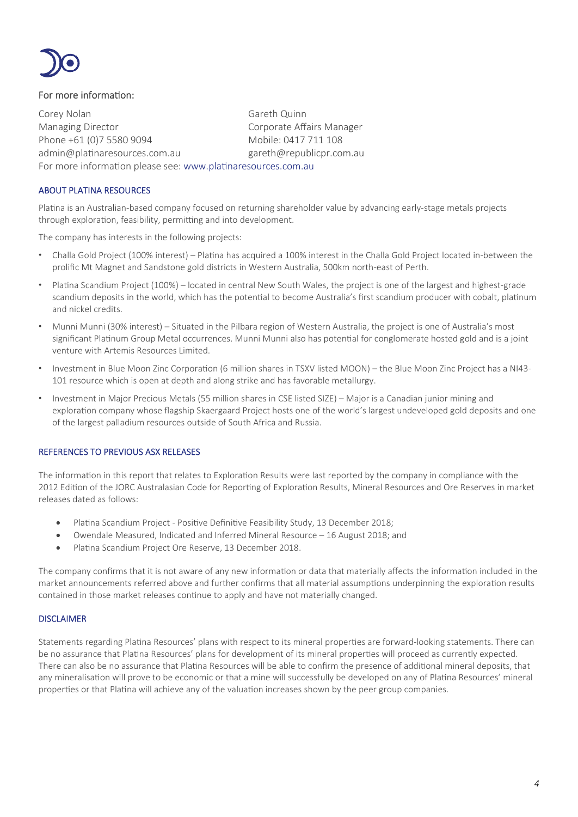

#### For more information:

Corey Nolan Gareth Quinn Managing Director **Communist Communist Corporate Affairs Manager** Phone +61 (0)7 5580 9094 Mobile: 0417 711 108 admin@platinaresources.com.au eareth@republicpr.com.au For more information please see: www.platinaresources.com.au

#### ABOUT PLATINA RESOURCES

Platina is an Australian-based company focused on returning shareholder value by advancing early-stage metals projects through exploration, feasibility, permitting and into development.

The company has interests in the following projects:

- Challa Gold Project (100% interest) Platina has acquired a 100% interest in the Challa Gold Project located in-between the prolific Mt Magnet and Sandstone gold districts in Western Australia, 500km north-east of Perth.
- Platina Scandium Project (100%) located in central New South Wales, the project is one of the largest and highest-grade scandium deposits in the world, which has the potential to become Australia's first scandium producer with cobalt, platinum and nickel credits.
- Munni Munni (30% interest) Situated in the Pilbara region of Western Australia, the project is one of Australia's most significant Platinum Group Metal occurrences. Munni Munni also has potential for conglomerate hosted gold and is a joint venture with Artemis Resources Limited.
- Investment in Blue Moon Zinc Corporation (6 million shares in TSXV listed MOON) the Blue Moon Zinc Project has a NI43-101 resource which is open at depth and along strike and has favorable metallurgy.
- Investment in Major Precious Metals (55 million shares in CSE listed SIZE) Major is a Canadian junior mining and exploration company whose flagship Skaergaard Project hosts one of the world's largest undeveloped gold deposits and one of the largest palladium resources outside of South Africa and Russia.

#### REFERENCES TO PREVIOUS ASX RELEASES

The information in this report that relates to Exploration Results were last reported by the company in compliance with the 2012 Edition of the JORC Australasian Code for Reporting of Exploration Results, Mineral Resources and Ore Reserves in market releases dated as follows:

- Platina Scandium Project Positive Definitive Feasibility Study, 13 December 2018;
- Owendale Measured, Indicated and Inferred Mineral Resource 16 August 2018; and
- Platina Scandium Project Ore Reserve, 13 December 2018.

The company confirms that it is not aware of any new information or data that materially affects the information included in the market announcements referred above and further confirms that all material assumptions underpinning the exploration results contained in those market releases continue to apply and have not materially changed.

#### **DISCLAIMER**

Statements regarding Platina Resources' plans with respect to its mineral properties are forward-looking statements. There can be no assurance that Platina Resources' plans for development of its mineral properties will proceed as currently expected. There can also be no assurance that Platina Resources will be able to confirm the presence of additional mineral deposits, that any mineralisation will prove to be economic or that a mine will successfully be developed on any of Platina Resources' mineral properties or that Platina will achieve any of the valuation increases shown by the peer group companies.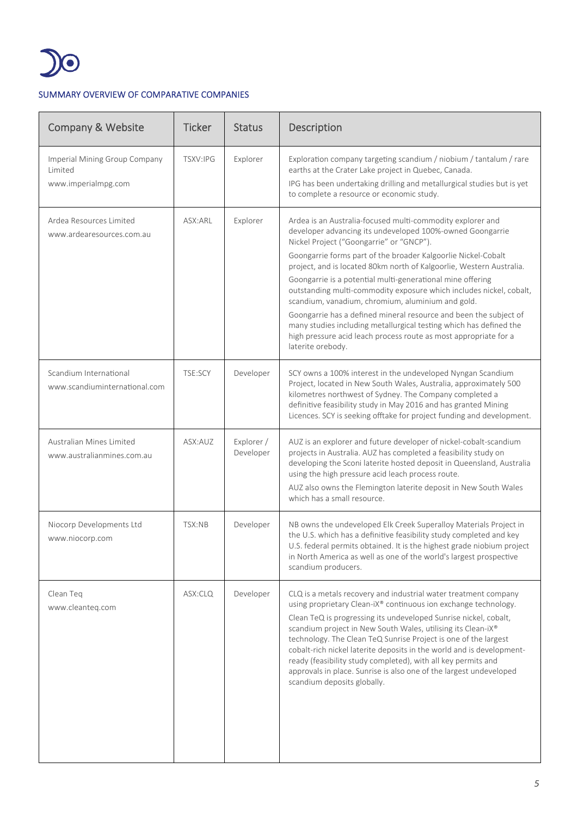

## SUMMARY OVERVIEW OF COMPARATIVE COMPANIES

| <b>Company &amp; Website</b>                                    | <b>Ticker</b>  | <b>Status</b>           | Description                                                                                                                                                                                                                                                                                                                                                                                                                                                                                                                                                                                                                                                                                                                                |
|-----------------------------------------------------------------|----------------|-------------------------|--------------------------------------------------------------------------------------------------------------------------------------------------------------------------------------------------------------------------------------------------------------------------------------------------------------------------------------------------------------------------------------------------------------------------------------------------------------------------------------------------------------------------------------------------------------------------------------------------------------------------------------------------------------------------------------------------------------------------------------------|
| Imperial Mining Group Company<br>Limited<br>www.imperialmpg.com | TSXV:IPG       | Explorer                | Exploration company targeting scandium / niobium / tantalum / rare<br>earths at the Crater Lake project in Quebec, Canada.<br>IPG has been undertaking drilling and metallurgical studies but is yet<br>to complete a resource or economic study.                                                                                                                                                                                                                                                                                                                                                                                                                                                                                          |
| Ardea Resources Limited<br>www.ardearesources.com.au            | ASX:ARL        | Explorer                | Ardea is an Australia-focused multi-commodity explorer and<br>developer advancing its undeveloped 100%-owned Goongarrie<br>Nickel Project ("Goongarrie" or "GNCP").<br>Goongarrie forms part of the broader Kalgoorlie Nickel-Cobalt<br>project, and is located 80km north of Kalgoorlie, Western Australia.<br>Goongarrie is a potential multi-generational mine offering<br>outstanding multi-commodity exposure which includes nickel, cobalt,<br>scandium, vanadium, chromium, aluminium and gold.<br>Goongarrie has a defined mineral resource and been the subject of<br>many studies including metallurgical testing which has defined the<br>high pressure acid leach process route as most appropriate for a<br>laterite orebody. |
| Scandium International<br>www.scandiuminternational.com         | <b>TSE:SCY</b> | Developer               | SCY owns a 100% interest in the undeveloped Nyngan Scandium<br>Project, located in New South Wales, Australia, approximately 500<br>kilometres northwest of Sydney. The Company completed a<br>definitive feasibility study in May 2016 and has granted Mining<br>Licences. SCY is seeking offtake for project funding and development.                                                                                                                                                                                                                                                                                                                                                                                                    |
| Australian Mines Limited<br>www.australianmines.com.au          | ASX:AUZ        | Explorer /<br>Developer | AUZ is an explorer and future developer of nickel-cobalt-scandium<br>projects in Australia. AUZ has completed a feasibility study on<br>developing the Sconi laterite hosted deposit in Queensland, Australia<br>using the high pressure acid leach process route.<br>AUZ also owns the Flemington laterite deposit in New South Wales<br>which has a small resource.                                                                                                                                                                                                                                                                                                                                                                      |
| Niocorp Developments Ltd<br>www.niocorp.com                     | TSX:NB         | Developer               | NB owns the undeveloped Elk Creek Superalloy Materials Project in<br>the U.S. which has a definitive feasibility study completed and key<br>U.S. federal permits obtained. It is the highest grade niobium project<br>in North America as well as one of the world's largest prospective<br>scandium producers.                                                                                                                                                                                                                                                                                                                                                                                                                            |
| Clean Teq<br>www.cleanteg.com                                   | ASX:CLQ        | Developer               | CLQ is a metals recovery and industrial water treatment company<br>using proprietary Clean-iX® continuous ion exchange technology.<br>Clean TeQ is progressing its undeveloped Sunrise nickel, cobalt,<br>scandium project in New South Wales, utilising its Clean-iX®<br>technology. The Clean TeQ Sunrise Project is one of the largest<br>cobalt-rich nickel laterite deposits in the world and is development-<br>ready (feasibility study completed), with all key permits and<br>approvals in place. Sunrise is also one of the largest undeveloped<br>scandium deposits globally.                                                                                                                                                   |